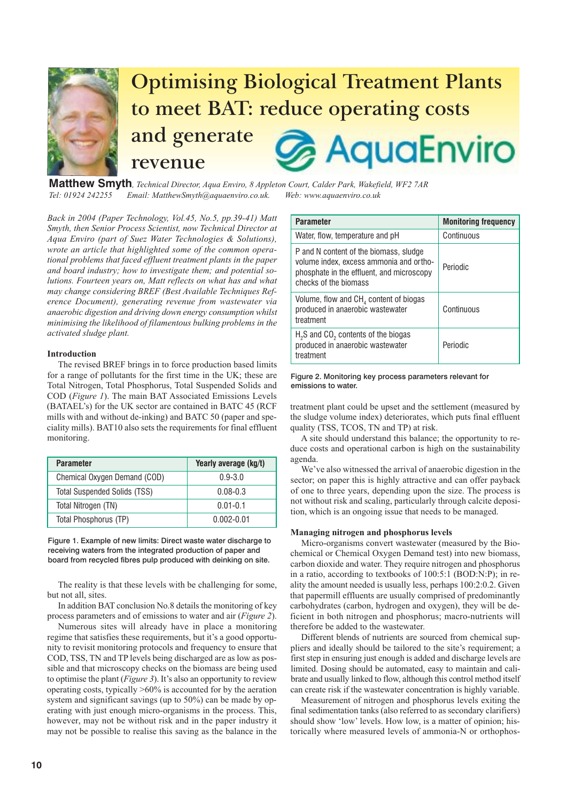

**Matthew Smyth***, Technical Director, Aqua Enviro, 8 Appleton Court, Calder Park, Wakefield, WF2 7AR Tel: 01924 242255 Email: MatthewSmyth@aquaenviro.co.uk. Web: www.aquaenviro.co.uk*

*Back in 2004 (Paper Technology, Vol.45, No.5, pp.39-41) Matt Smyth, then Senior Process Scientist, now Technical Director at Aqua Enviro (part of Suez Water Technologies & Solutions), wrote an article that highlighted some of the common operational problems that faced effluent treatment plants in the paper and board industry; how to investigate them; and potential solutions. Fourteen years on, Matt reflects on what has and what may change considering BREF (Best Available Techniques Reference Document), generating revenue from wastewater via anaerobic digestion and driving down energy consumption whilst minimising the likelihood of filamentous bulking problems in the activated sludge plant.*

# **Introduction**

The revised BREF brings in to force production based limits for a range of pollutants for the first time in the UK; these are Total Nitrogen, Total Phosphorus, Total Suspended Solids and COD (*Figure 1*). The main BAT Associated Emissions Levels (BATAEL's) for the UK sector are contained in BATC 45 (RCF mills with and without de-inking) and BATC 50 (paper and speciality mills). BAT10 also sets the requirements for final effluent monitoring.

| <b>Parameter</b>                    | Yearly average (kg/t) |
|-------------------------------------|-----------------------|
| Chemical Oxygen Demand (COD)        | $0.9 - 3.0$           |
| <b>Total Suspended Solids (TSS)</b> | $0.08 - 0.3$          |
| Total Nitrogen (TN)                 | $0.01 - 0.1$          |
| Total Phosphorus (TP)               | $0.002 - 0.01$        |

Figure 1. Example of new limits: Direct waste water discharge to receiving waters from the integrated production of paper and board from recycled fibres pulp produced with deinking on site.

The reality is that these levels with be challenging for some, but not all, sites.

In addition BAT conclusion No.8 details the monitoring of key process parameters and of emissions to water and air (*Figure 2*).

Numerous sites will already have in place a monitoring regime that satisfies these requirements, but it's a good opportunity to revisit monitoring protocols and frequency to ensure that COD, TSS, TN and TP levels being discharged are as low as possible and that microscopy checks on the biomass are being used to optimise the plant (*Figure 3*). It's also an opportunity to review operating costs, typically >60% is accounted for by the aeration system and significant savings (up to 50%) can be made by operating with just enough micro-organisms in the process. This, however, may not be without risk and in the paper industry it may not be possible to realise this saving as the balance in the

| <b>Parameter</b>                                                                                                                                        | <b>Monitoring frequency</b> |
|---------------------------------------------------------------------------------------------------------------------------------------------------------|-----------------------------|
| Water, flow, temperature and pH                                                                                                                         | Continuous                  |
| P and N content of the biomass, sludge<br>volume index, excess ammonia and ortho-<br>phosphate in the effluent, and microscopy<br>checks of the biomass | Periodic                    |
| Volume, flow and $CH4$ content of biogas<br>produced in anaerobic wastewater<br>treatment                                                               | Continuous                  |
| $H2S$ and CO <sub>2</sub> contents of the biogas<br>produced in anaerobic wastewater<br>treatment                                                       | Periodic                    |

## Figure 2. Monitoring key process parameters relevant for emissions to water.

treatment plant could be upset and the settlement (measured by the sludge volume index) deteriorates, which puts final effluent quality (TSS, TCOS, TN and TP) at risk.

A site should understand this balance; the opportunity to reduce costs and operational carbon is high on the sustainability agenda.

We've also witnessed the arrival of anaerobic digestion in the sector; on paper this is highly attractive and can offer payback of one to three years, depending upon the size. The process is not without risk and scaling, particularly through calcite deposition, which is an ongoing issue that needs to be managed.

## **Managing nitrogen and phosphorus levels**

Micro-organisms convert wastewater (measured by the Biochemical or Chemical Oxygen Demand test) into new biomass, carbon dioxide and water. They require nitrogen and phosphorus in a ratio, according to textbooks of 100:5:1 (BOD:N:P); in reality the amount needed is usually less, perhaps 100:2:0.2. Given that papermill effluents are usually comprised of predominantly carbohydrates (carbon, hydrogen and oxygen), they will be deficient in both nitrogen and phosphorus; macro-nutrients will therefore be added to the wastewater.

Different blends of nutrients are sourced from chemical suppliers and ideally should be tailored to the site's requirement; a first step in ensuring just enough is added and discharge levels are limited. Dosing should be automated, easy to maintain and calibrate and usually linked to flow, although this control method itself can create risk if the wastewater concentration is highly variable.

Measurement of nitrogen and phosphorus levels exiting the final sedimentation tanks (also referred to as secondary clarifiers) should show 'low' levels. How low, is a matter of opinion; historically where measured levels of ammonia-N or orthophos-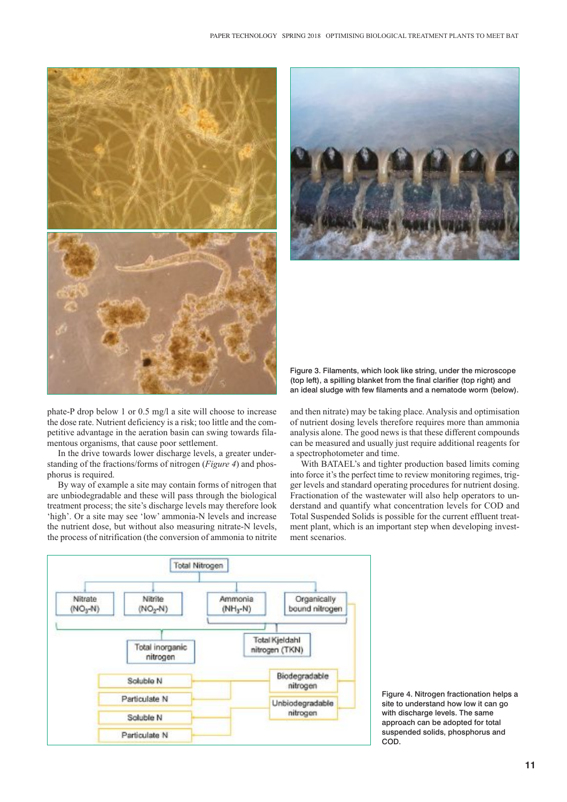

Figure 3. Filaments, which look like string, under the microscope (top left), a spilling blanket from the final clarifier (top right) and an ideal sludge with few filaments and a nematode worm (below).

phate-P drop below 1 or 0.5 mg/l a site will choose to increase the dose rate. Nutrient deficiency is a risk; too little and the competitive advantage in the aeration basin can swing towards filamentous organisms, that cause poor settlement.

In the drive towards lower discharge levels, a greater understanding of the fractions/forms of nitrogen (*Figure 4*) and phosphorus is required.

By way of example a site may contain forms of nitrogen that are unbiodegradable and these will pass through the biological treatment process; the site's discharge levels may therefore look 'high'. Or a site may see 'low' ammonia-N levels and increase the nutrient dose, but without also measuring nitrate-N levels, the process of nitrification (the conversion of ammonia to nitrite

and then nitrate) may be taking place. Analysis and optimisation of nutrient dosing levels therefore requires more than ammonia analysis alone. The good news is that these different compounds can be measured and usually just require additional reagents for a spectrophotometer and time.

With BATAEL's and tighter production based limits coming into force it's the perfect time to review monitoring regimes, trigger levels and standard operating procedures for nutrient dosing. Fractionation of the wastewater will also help operators to understand and quantify what concentration levels for COD and Total Suspended Solids is possible for the current effluent treatment plant, which is an important step when developing investment scenarios.



Figure 4. Nitrogen fractionation helps a site to understand how low it can go with discharge levels. The same approach can be adopted for total suspended solids, phosphorus and COD.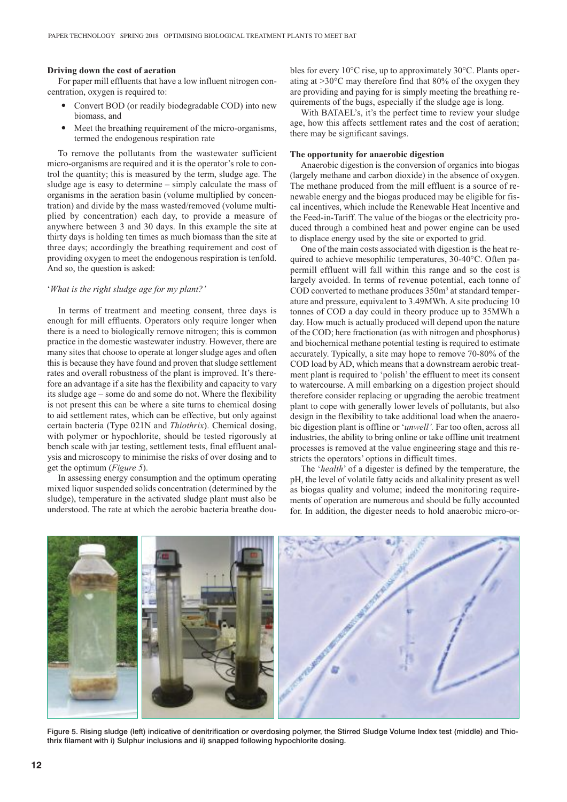#### **Driving down the cost of aeration**

For paper mill effluents that have a low influent nitrogen concentration, oxygen is required to:

- - Convert BOD (or readily biodegradable COD) into new biomass, and
- - Meet the breathing requirement of the micro-organisms, termed the endogenous respiration rate

To remove the pollutants from the wastewater sufficient micro-organisms are required and it is the operator's role to control the quantity; this is measured by the term, sludge age. The sludge age is easy to determine – simply calculate the mass of organisms in the aeration basin (volume multiplied by concentration) and divide by the mass wasted/removed (volume multiplied by concentration) each day, to provide a measure of anywhere between 3 and 30 days. In this example the site at thirty days is holding ten times as much biomass than the site at three days; accordingly the breathing requirement and cost of providing oxygen to meet the endogenous respiration is tenfold. And so, the question is asked:

## '*What is the right sludge age for my plant?'*

In terms of treatment and meeting consent, three days is enough for mill effluents. Operators only require longer when there is a need to biologically remove nitrogen; this is common practice in the domestic wastewater industry. However, there are many sites that choose to operate at longer sludge ages and often this is because they have found and proven that sludge settlement rates and overall robustness of the plant is improved. It's therefore an advantage if a site has the flexibility and capacity to vary its sludge age – some do and some do not. Where the flexibility is not present this can be where a site turns to chemical dosing to aid settlement rates, which can be effective, but only against certain bacteria (Type 021N and *Thiothrix*). Chemical dosing, with polymer or hypochlorite, should be tested rigorously at bench scale with jar testing, settlement tests, final effluent analysis and microscopy to minimise the risks of over dosing and to get the optimum (*Figure 5*).

In assessing energy consumption and the optimum operating mixed liquor suspended solids concentration (determined by the sludge), temperature in the activated sludge plant must also be understood. The rate at which the aerobic bacteria breathe doubles for every 10°C rise, up to approximately 30°C. Plants operating at >30°C may therefore find that 80% of the oxygen they are providing and paying for is simply meeting the breathing requirements of the bugs, especially if the sludge age is long.

With BATAEL's, it's the perfect time to review your sludge age, how this affects settlement rates and the cost of aeration; there may be significant savings.

## **The opportunity for anaerobic digestion**

Anaerobic digestion is the conversion of organics into biogas (largely methane and carbon dioxide) in the absence of oxygen. The methane produced from the mill effluent is a source of renewable energy and the biogas produced may be eligible for fiscal incentives, which include the Renewable Heat Incentive and the Feed-in-Tariff. The value of the biogas or the electricity produced through a combined heat and power engine can be used to displace energy used by the site or exported to grid.

One of the main costs associated with digestion is the heat required to achieve mesophilic temperatures, 30-40°C. Often papermill effluent will fall within this range and so the cost is largely avoided. In terms of revenue potential, each tonne of COD converted to methane produces 350m3 at standard temperature and pressure, equivalent to 3.49MWh. A site producing 10 tonnes of COD a day could in theory produce up to 35MWh a day. How much is actually produced will depend upon the nature of the COD; here fractionation (as with nitrogen and phosphorus) and biochemical methane potential testing is required to estimate accurately. Typically, a site may hope to remove 70-80% of the COD load by AD, which means that a downstream aerobic treatment plant is required to 'polish' the effluent to meet its consent to watercourse. A mill embarking on a digestion project should therefore consider replacing or upgrading the aerobic treatment plant to cope with generally lower levels of pollutants, but also design in the flexibility to take additional load when the anaerobic digestion plant is offline or '*unwell'.* Far too often, across all industries, the ability to bring online or take offline unit treatment processes is removed at the value engineering stage and this restricts the operators' options in difficult times.

The '*health*' of a digester is defined by the temperature, the pH, the level of volatile fatty acids and alkalinity present as well as biogas quality and volume; indeed the monitoring requirements of operation are numerous and should be fully accounted for. In addition, the digester needs to hold anaerobic micro-or-



Figure 5. Rising sludge (left) indicative of denitrification or overdosing polymer, the Stirred Sludge Volume Index test (middle) and Thiothrix filament with i) Sulphur inclusions and ii) snapped following hypochlorite dosing.